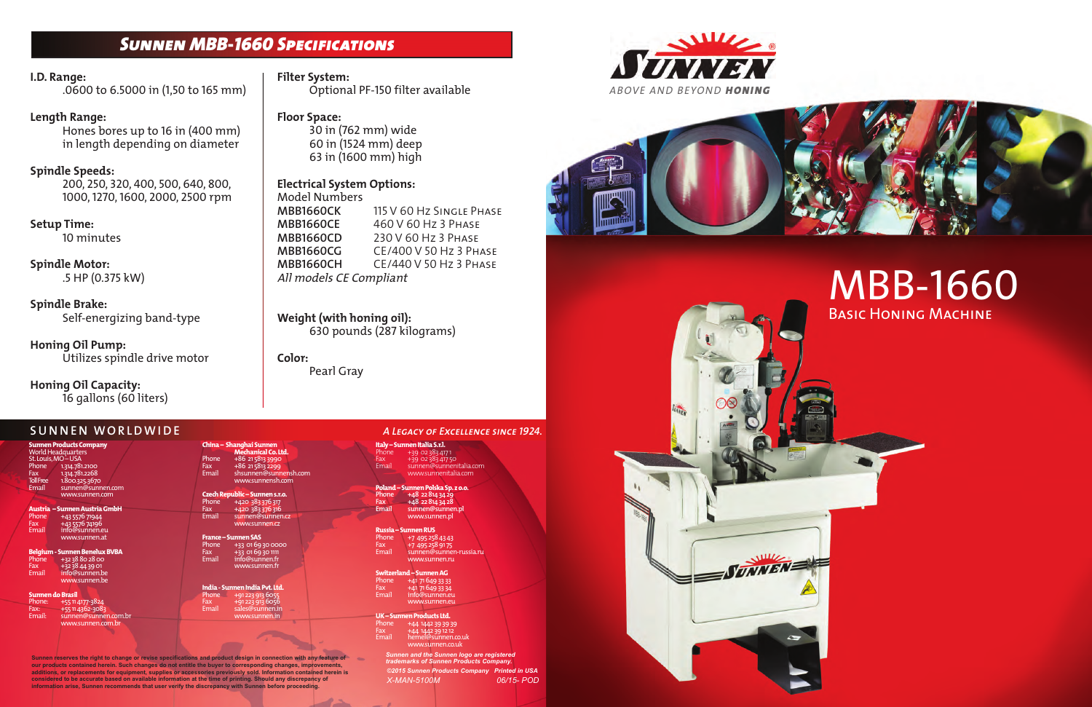# MBB-1660 Basic Honing Machine







## **SUNNEN WORLDWIDE** *A Legacy of Excellence since 1924.*

|                         | <b>Sunnen Products Company</b>        |
|-------------------------|---------------------------------------|
|                         | World Headquarters                    |
| St. Louis, MO-USA       |                                       |
| Phone                   | 1.314.781.2100                        |
| Fax                     | 1.314.781.2268                        |
| <b>Toll Free</b>        | 1.800.325.3670                        |
| Email                   | sunnen@sunnen.com                     |
|                         | www.sunnen.com                        |
|                         |                                       |
|                         | <u> Austria – Sunnen Austria GmbH</u> |
| Phone                   | +43 5576 71944                        |
| Fax                     | +43 5576 74196                        |
| Email                   | info@sunnen.eu                        |
|                         | www.sunnen.at                         |
|                         |                                       |
|                         | <b>Belgium - Sunnen Benelux BVBA</b>  |
| Phone                   | +32 38 80 28 00                       |
| Fax                     | +32 38 44 39 01                       |
| Email                   | info@sunnen.be                        |
|                         | www.sunnen.be                         |
|                         |                                       |
| <b>Sunnen do Brasil</b> |                                       |
| Phone:                  | +55 11 4177-3824                      |
| Fax:                    | +55114362-3083                        |
| Email:                  | sunnen@sunnen.com.br                  |
|                         | www.sunnen.com.br                     |

#### **China – Mechanical Co. Ltd.** Phone +86 21 5813 3990 Fax +86 21 5813 2299 Email shsunnen@sunnensh.com www.sunnensh.com **Czech** Phone +420 383 376 317

#### **India Pvt. Ltd** Phone +91 223 913 6055 Fax +91 223 913 6056 Email sales@sunnen.in

#### **Italy – Sunnen Italia S.r.l.** Phone +39 02 383 417 1  $+39$  02 383 417 50

 $summen@sumner$ www.sunnenitalia.com

#### **Russia – Sunnen RUS** +7 495 258 43 43

Fax +7 495 258 91 75 Email sunnen@sunnen-russia.ru w.sunnen.ru

71 649 33 33 Fax +41 71 649 33 34 Email info@sunnen.eu www.sunnen.eu

#### ucts Ltd

Fax +420 383 376 316 Email sunnen@sunnen.cz www.sunnen.cz

**France – Sunnen SAS** Phone +33 01 69 30 0000 Fax +33 01 69 30 1111 Email info@sunnen.fr www.sunnen.fr

www.sunnen.in

Sunnen reserves the right to change or revise specifications and product design in connection with any feature of<br>our products contained herein. Such changes do not entitle the buyer to corresponding changes, improvements, **additions, or replacements for equipment, supplies or accessories previously sold. Information contained herein is**

#### **Poland – Sunnen Polska Sp. z o.o. Phone +48 22 814 34 29 Fax +48 22 814 34 28**

**Email sunnen@sunnen.pl** www.sunnen.pl

#### **Switzerland – Sunnen AG**

Phone +44 1442 39 39 39 Fax +44 1442 39 12 12 Email hemel@sunnen.co.uk

www.sunnen.co.uk

*©2015 Sunnen Products Company Printed in USA X-MAN-5100M 06/15- POD Sunnen and the Sunnen logo are registered* 

**considered to be accurate based on available information at the time of printing. Should any discrepancy of information arise, Sunnen recommends that user verify the discrepancy with Sunnen before proceeding.**

#### **I.D. Range:**

.0600 to 6.5000 in (1,50 to 165 mm)

#### **Length Range:**

Hones bores up to <sup>16</sup> in (<sup>400</sup> mm) in length depending on diameter

#### **Spindle Speeds:**

200, 250, 320, 400, 500, 640, 800, 1000, 1270, 1600, 2000, 2500 rpm

#### **Setup Time:**

10 minutes

**Spindle Motor:** .5 HP (0.375 kW)

## **Spindle Brake:**

Self-energizing band-type

## **Honing Oil Pump:**

Utilizes spindle drive motor

## **Honing Oil Capacity:**

<sup>16</sup> gallons (<sup>60</sup> liters)

### **Filter System:**

Optional PF-150 filter available

#### **Floor Space:**

30 in (762 mm) wide <sup>60</sup> in (<sup>1524</sup> mm) deep <sup>63</sup> in (<sup>1600</sup> mm) high

## **Electrical System Options:**

Model Numbers **MBB1660CK** 115 V 60 Hz Single Phase **MBB1660CE** 460 V 60 Hz 3 Phase **MBB1660CD** 230 V 60 Hz 3 Phase **MBB1660CG** CE/400 V 50 Hz 3 Phase **MBB1660CH** CE/440 V 50 Hz 3 Phase All models CE Compliant

### **Weight (with honing oil):**

<sup>630</sup> pounds (<sup>287</sup> kilograms)

#### **Color:** Pearl Gray

# *Sunnen MBB-1660 Specifications*